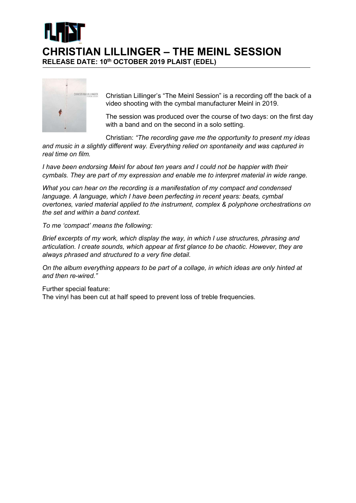



real time on film.

Christian Lillinger's "The Meinl Session" is a recording off the back of a video shooting with the cymbal manufacturer Meinl in 2019.

The session was produced over the course of two days: on the first day with a band and on the second in a solo setting.

Christian: "The recording gave me the opportunity to present my ideas and music in a slightly different way. Everything relied on spontaneity and was captured in

I have been endorsing Meinl for about ten years and I could not be happier with their cymbals. They are part of my expression and enable me to interpret material in wide range.

What you can hear on the recording is a manifestation of my compact and condensed language. A language, which I have been perfecting in recent years: beats, cymbal overtones, varied material applied to the instrument, complex & polyphone orchestrations on the set and within a band context.

To me 'compact' means the following:

Brief excerpts of my work, which display the way, in which I use structures, phrasing and articulation. I create sounds, which appear at first glance to be chaotic. However, they are always phrased and structured to a very fine detail.

On the album everything appears to be part of a collage, in which ideas are only hinted at and then re-wired."

Further special feature:

The vinyl has been cut at half speed to prevent loss of treble frequencies.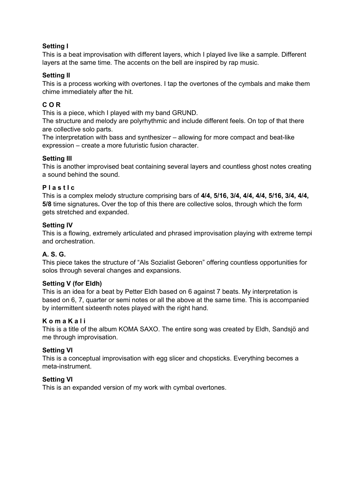## Setting I

This is a beat improvisation with different layers, which I played live like a sample. Different layers at the same time. The accents on the bell are inspired by rap music.

## Setting II

This is a process working with overtones. I tap the overtones of the cymbals and make them chime immediately after the hit.

# C O R

This is a piece, which I played with my band GRUND.

The structure and melody are polyrhythmic and include different feels. On top of that there are collective solo parts.

The interpretation with bass and synthesizer – allowing for more compact and beat-like expression – create a more futuristic fusion character.

#### Setting III

This is another improvised beat containing several layers and countless ghost notes creating a sound behind the sound.

#### P l a s t I c

This is a complex melody structure comprising bars of 4/4, 5/16, 3/4, 4/4, 4/4, 5/16, 3/4, 4/4, 5/8 time signatures. Over the top of this there are collective solos, through which the form gets stretched and expanded.

#### Setting IV

This is a flowing, extremely articulated and phrased improvisation playing with extreme tempi and orchestration.

## A. S. G.

This piece takes the structure of "Als Sozialist Geboren" offering countless opportunities for solos through several changes and expansions.

## Setting V (for Eldh)

This is an idea for a beat by Petter Eldh based on 6 against 7 beats. My interpretation is based on 6, 7, quarter or semi notes or all the above at the same time. This is accompanied by intermittent sixteenth notes played with the right hand.

#### K o m a K a l i

This is a title of the album KOMA SAXO. The entire song was created by Eldh, Sandsjö and me through improvisation.

#### Setting VI

This is a conceptual improvisation with egg slicer and chopsticks. Everything becomes a meta-instrument.

## Setting VI

This is an expanded version of my work with cymbal overtones.